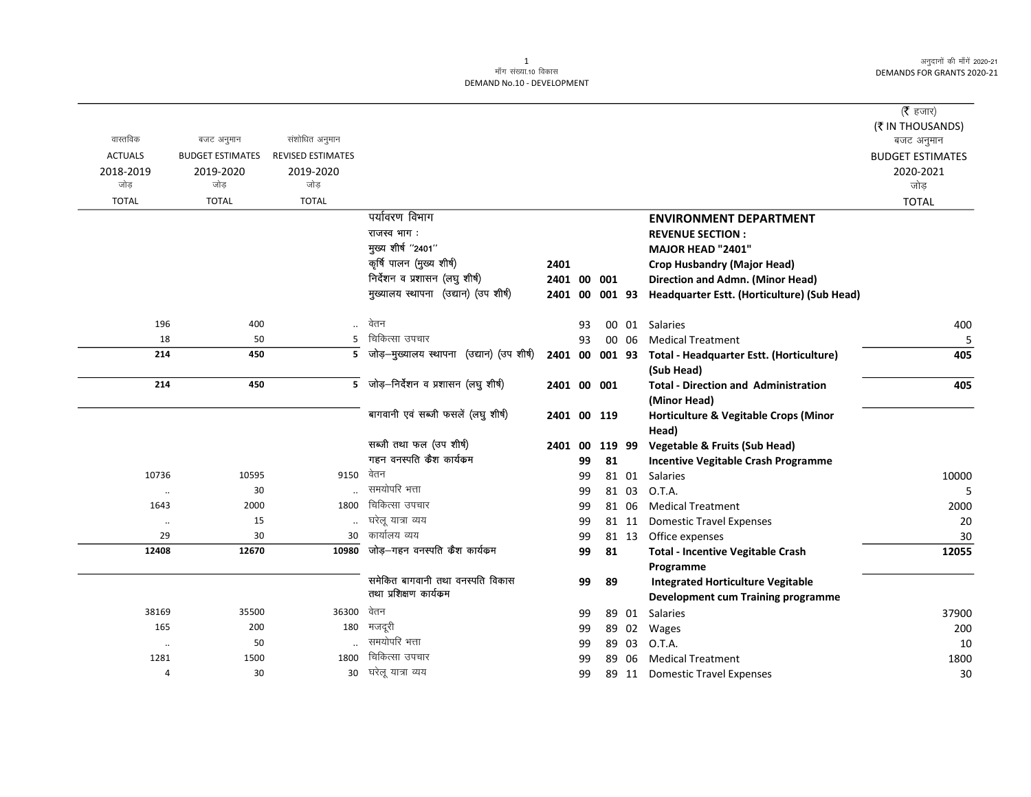### 1 ek¡x l a[;k-10 fodkl DEMAND No.10 - DEVELOPMENT

| वास्तविक                            | बजट अनुमान                                   | संशोधित अनुमान                         |                                                    |                |    |    |        |                                             | ( $\bar{\tau}$ हजार)<br>(₹ IN THOUSANDS)<br>बजट अनुमान |
|-------------------------------------|----------------------------------------------|----------------------------------------|----------------------------------------------------|----------------|----|----|--------|---------------------------------------------|--------------------------------------------------------|
| <b>ACTUALS</b><br>2018-2019<br>जोड़ | <b>BUDGET ESTIMATES</b><br>2019-2020<br>जोड़ | REVISED ESTIMATES<br>2019-2020<br>जोड़ |                                                    |                |    |    |        |                                             | <b>BUDGET ESTIMATES</b><br>2020-2021<br>जोड़           |
| <b>TOTAL</b>                        | <b>TOTAL</b>                                 | <b>TOTAL</b>                           |                                                    |                |    |    |        |                                             | <b>TOTAL</b>                                           |
|                                     |                                              |                                        | पर्यावरण विभाग                                     |                |    |    |        | <b>ENVIRONMENT DEPARTMENT</b>               |                                                        |
|                                     |                                              |                                        | राजस्व भाग:                                        |                |    |    |        | <b>REVENUE SECTION:</b>                     |                                                        |
|                                     |                                              |                                        | मुख्य शीर्ष "2401"                                 |                |    |    |        | MAJOR HEAD "2401"                           |                                                        |
|                                     |                                              |                                        | कृषि पालन (मुख्य शीर्ष)                            | 2401           |    |    |        | <b>Crop Husbandry (Major Head)</b>          |                                                        |
|                                     |                                              |                                        | निर्देशन व प्रशासन (लघु शीर्ष)                     | 2401 00 001    |    |    |        | Direction and Admn. (Minor Head)            |                                                        |
|                                     |                                              |                                        | मुख्यालय स्थापना (उद्यान) (उप शीर्ष)               | 2401 00 001 93 |    |    |        | Headquarter Estt. (Horticulture) (Sub Head) |                                                        |
| 196                                 | 400                                          |                                        | वेतन                                               |                | 93 | 00 | 01     | <b>Salaries</b>                             | 400                                                    |
| 18                                  | 50                                           | 5                                      | चिकित्सा उपचार                                     |                | 93 |    | 00 06  | <b>Medical Treatment</b>                    | 5                                                      |
| 214                                 | 450                                          | 5                                      | जोड़—मुख्यालय स्थापना<br>(उद्यान) (उप शीर्ष)       | 2401 00 001 93 |    |    |        | Total - Headquarter Estt. (Horticulture)    | 405                                                    |
|                                     |                                              |                                        |                                                    |                |    |    |        | (Sub Head)                                  |                                                        |
| 214                                 | 450                                          |                                        | $\overline{5}$ जोड़-निर्देशन व प्रशासन (लघु शीर्ष) | 2401 00 001    |    |    |        | <b>Total - Direction and Administration</b> | 405                                                    |
|                                     |                                              |                                        |                                                    |                |    |    |        | (Minor Head)                                |                                                        |
|                                     |                                              |                                        | बागवानी एवं सब्जी फसलें (लघु शीर्ष)                | 2401 00 119    |    |    |        | Horticulture & Vegitable Crops (Minor       |                                                        |
|                                     |                                              |                                        |                                                    |                |    |    |        | Head)                                       |                                                        |
|                                     |                                              |                                        | सब्जी तथा फल (उप शीर्ष)                            | 2401 00        |    |    | 119 99 | <b>Vegetable &amp; Fruits (Sub Head)</b>    |                                                        |
|                                     |                                              |                                        | गहन वनस्पति कैश कार्यकम                            |                | 99 | 81 |        | <b>Incentive Vegitable Crash Programme</b>  |                                                        |
| 10736                               | 10595                                        | 9150                                   | वेतन                                               |                | 99 |    | 81 01  | Salaries                                    | 10000                                                  |
| $\ddotsc$                           | 30                                           |                                        | समयोपरि भत्ता                                      |                | 99 |    | 81 03  | O.T.A.                                      | 5                                                      |
| 1643                                | 2000                                         | 1800                                   | चिकित्सा उपचार                                     |                | 99 |    | 81 06  | <b>Medical Treatment</b>                    | 2000                                                   |
| $\cdot\cdot$                        | 15                                           |                                        | घरेलू यात्रा व्यय                                  |                | 99 |    | 81 11  | <b>Domestic Travel Expenses</b>             | 20                                                     |
| 29                                  | 30                                           | 30                                     | कार्यालय व्यय                                      |                | 99 |    | 81 13  | Office expenses                             | 30                                                     |
| 12408                               | 12670                                        | 10980                                  | जोड़–गहन वनस्पति कैश कार्यकम                       |                | 99 | 81 |        | <b>Total - Incentive Vegitable Crash</b>    | 12055                                                  |
|                                     |                                              |                                        |                                                    |                |    |    |        | Programme                                   |                                                        |
|                                     |                                              |                                        | समेकित बागवानी तथा वनस्पति विकास                   |                | 99 | 89 |        | <b>Integrated Horticulture Vegitable</b>    |                                                        |
|                                     |                                              |                                        | तथा प्रशिक्षण कार्यकम                              |                |    |    |        | <b>Development cum Training programme</b>   |                                                        |
| 38169                               | 35500                                        | 36300                                  | वेतन                                               |                | 99 |    | 89 01  | <b>Salaries</b>                             | 37900                                                  |
| 165                                 | 200                                          | 180                                    | मजदूरी                                             |                | 99 | 89 | 02     | Wages                                       | 200                                                    |
| $\ddotsc$                           | 50                                           |                                        | समयोपरि भत्ता                                      |                | 99 |    | 89 03  | O.T.A.                                      | 10                                                     |
| 1281                                | 1500                                         | 1800                                   | चिकित्सा उपचार                                     |                | 99 | 89 | 06     | <b>Medical Treatment</b>                    | 1800                                                   |
| 4                                   | 30                                           | 30                                     | घरेलू यात्रा व्यय                                  |                | 99 |    | 89 11  | <b>Domestic Travel Expenses</b>             | 30                                                     |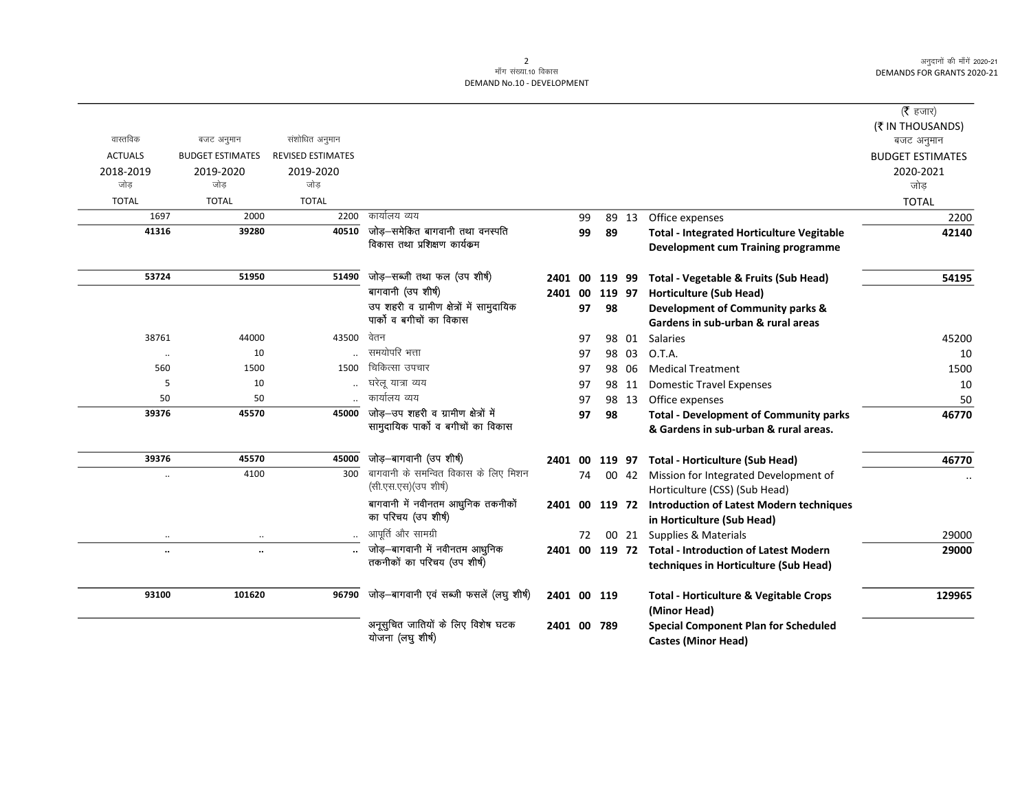|                      |                         |                          |                                                                            |                |    |        |       |                                                      | ( $\bar{\tau}$ हजार)<br>(₹ IN THOUSANDS) |
|----------------------|-------------------------|--------------------------|----------------------------------------------------------------------------|----------------|----|--------|-------|------------------------------------------------------|------------------------------------------|
| वास्तविक             | बजट अनुमान              | संशोधित अनुमान           |                                                                            |                |    |        |       |                                                      | बजट अनुमान                               |
| <b>ACTUALS</b>       | <b>BUDGET ESTIMATES</b> | <b>REVISED ESTIMATES</b> |                                                                            |                |    |        |       |                                                      | <b>BUDGET ESTIMATES</b>                  |
| 2018-2019            | 2019-2020               | 2019-2020                |                                                                            |                |    |        |       |                                                      | 2020-2021                                |
| जोड                  | जोड                     | जोड                      |                                                                            |                |    |        |       |                                                      | जोड                                      |
| <b>TOTAL</b>         | <b>TOTAL</b>            | <b>TOTAL</b>             |                                                                            |                |    |        |       |                                                      | <b>TOTAL</b>                             |
| 1697                 | 2000                    | 2200                     | कार्यालय व्यय                                                              |                | 99 |        | 89 13 | Office expenses                                      | 2200                                     |
| 41316                | 39280                   | 40510                    | जोड़–समेकित बागवानी तथा वनस्पति                                            |                | 99 | 89     |       | <b>Total - Integrated Horticulture Vegitable</b>     | 42140                                    |
|                      |                         |                          | विकास तथा प्रशिक्षण कार्यक्रम                                              |                |    |        |       | Development cum Training programme                   |                                          |
| 53724                | 51950                   | 51490                    | जोड़-सब्जी तथा फल (उप शीर्ष)                                               | 2401 00        |    | 119 99 |       | Total - Vegetable & Fruits (Sub Head)                | 54195                                    |
|                      |                         |                          | बागवानी (उप शीर्ष)                                                         | 2401           | 00 | 119 97 |       | <b>Horticulture (Sub Head)</b>                       |                                          |
|                      |                         |                          | उप शहरी व ग्रामीण क्षेत्रों में सामुदायिक                                  |                | 97 | 98     |       | Development of Community parks &                     |                                          |
|                      |                         |                          | पार्को व बगीचों का विकास                                                   |                |    |        |       | Gardens in sub-urban & rural areas                   |                                          |
| 38761                | 44000                   | 43500                    | वेतन                                                                       |                | 97 |        | 98 01 | Salaries                                             | 45200                                    |
| $\cdot\cdot$         | 10                      |                          | समयोपरि भत्ता                                                              |                | 97 |        | 98 03 | O.T.A.                                               | 10                                       |
| 560                  | 1500                    | 1500                     | चिकित्सा उपचार                                                             |                | 97 |        | 98 06 | <b>Medical Treatment</b>                             | 1500                                     |
| 5                    | 10                      | $\ddotsc$                | घरेलू यात्रा व्यय                                                          |                | 97 |        | 98 11 | <b>Domestic Travel Expenses</b>                      | 10                                       |
| 50                   | 50                      |                          | कार्यालय व्यय                                                              |                | 97 |        | 98 13 | Office expenses                                      | 50                                       |
| 39376                | 45570                   | 45000                    | जोड़-उप शहरी व ग्रामीण क्षेत्रों में<br>सामुदायिक पार्को व बगीचों का विकास |                | 97 | 98     |       | <b>Total - Development of Community parks</b>        | 46770                                    |
|                      |                         |                          |                                                                            |                |    |        |       | & Gardens in sub-urban & rural areas.                |                                          |
| 39376                | 45570                   | 45000                    | जोड़-बागवानी (उप शीर्ष)                                                    | 2401 00        |    | 119 97 |       | <b>Total - Horticulture (Sub Head)</b>               | 46770                                    |
| $\ddot{\phantom{a}}$ | 4100                    | 300                      | बागवानी के समन्वित विकास के लिए मिशन                                       |                | 74 |        |       | 00 42 Mission for Integrated Development of          |                                          |
|                      |                         |                          | (सी.एस.एस) (उप शीर्ष)                                                      |                |    |        |       | Horticulture (CSS) (Sub Head)                        |                                          |
|                      |                         |                          | बागवानी में नवीनतम आधुनिक तकनीकों                                          | 2401 00 119 72 |    |        |       | <b>Introduction of Latest Modern techniques</b>      |                                          |
|                      |                         |                          | का परिचय (उप शीर्ष)                                                        |                |    |        |       | in Horticulture (Sub Head)                           |                                          |
| $\ddotsc$            | $\ddotsc$               |                          | आपूर्ति और सामग्री                                                         |                | 72 |        |       | 00 21 Supplies & Materials                           | 29000                                    |
| $\ddot{\phantom{a}}$ | $\ddotsc$               |                          | जोड़–बागवानी में नवीनतम आधुनिक<br>तकनीकों का परिचय (उप शीर्ष)              |                |    |        |       | 2401 00 119 72 Total - Introduction of Latest Modern | 29000                                    |
|                      |                         |                          |                                                                            |                |    |        |       | techniques in Horticulture (Sub Head)                |                                          |
| 93100                | 101620                  | 96790                    | जोड़-बागवानी एवं सब्जी फसलें (लघु शीर्ष)                                   | 2401 00 119    |    |        |       | <b>Total - Horticulture &amp; Vegitable Crops</b>    | 129965                                   |
|                      |                         |                          |                                                                            |                |    |        |       | (Minor Head)                                         |                                          |
|                      |                         |                          | अनूसुचित जातियों के लिए विशेष घटक                                          | 2401 00 789    |    |        |       | <b>Special Component Plan for Scheduled</b>          |                                          |
|                      |                         |                          | योजना (लघु शीर्ष)                                                          |                |    |        |       | <b>Castes (Minor Head)</b>                           |                                          |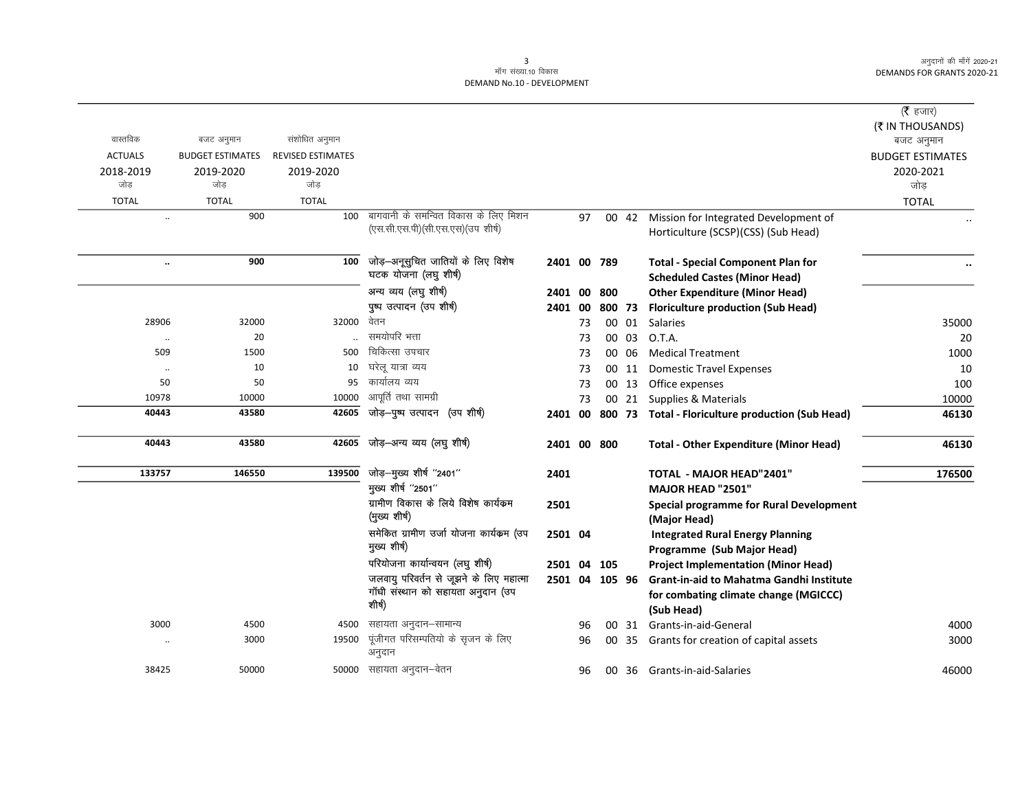|                |                         |                          |                                                                                        |                |    |        |       |                                                                                                        | ( <b>रै</b> हजार)<br>(₹ IN THOUSANDS) |
|----------------|-------------------------|--------------------------|----------------------------------------------------------------------------------------|----------------|----|--------|-------|--------------------------------------------------------------------------------------------------------|---------------------------------------|
| वास्तविक       | बजट अनुमान              | संशोधित अनुमान           |                                                                                        |                |    |        |       |                                                                                                        | बजट अनुमान                            |
| <b>ACTUALS</b> | <b>BUDGET ESTIMATES</b> | <b>REVISED ESTIMATES</b> |                                                                                        |                |    |        |       |                                                                                                        | <b>BUDGET ESTIMATES</b>               |
| 2018-2019      | 2019-2020               | 2019-2020                |                                                                                        |                |    |        |       |                                                                                                        | 2020-2021                             |
| जोड़           | जोड                     | जोड                      |                                                                                        |                |    |        |       |                                                                                                        | जोड                                   |
| <b>TOTAL</b>   | <b>TOTAL</b>            | <b>TOTAL</b>             |                                                                                        |                |    |        |       |                                                                                                        | <b>TOTAL</b>                          |
| $\ddotsc$      | 900                     |                          | 100 बागवानी के समन्वित विकास के लिए मिशन<br>(एस.सी.एस.पी) (सी.एस.एस) (उप शीर्ष)        |                | 97 |        | 00 42 | Mission for Integrated Development of<br>Horticulture (SCSP)(CSS) (Sub Head)                           |                                       |
| $\ldots$       | 900                     | 100                      | जोड़-अनूसुचित जातियों के लिए विशेष<br>घटक योजना (लघु शीर्ष)                            | 2401 00 789    |    |        |       | <b>Total - Special Component Plan for</b><br><b>Scheduled Castes (Minor Head)</b>                      |                                       |
|                |                         |                          | अन्य व्यय (लघु शीर्ष)                                                                  | 2401 00        |    | 800    |       | <b>Other Expenditure (Minor Head)</b>                                                                  |                                       |
|                |                         |                          | पुष्प उत्पादन (उप शीर्ष)                                                               | 2401 00        |    | 800 73 |       | <b>Floriculture production (Sub Head)</b>                                                              |                                       |
| 28906          | 32000                   | 32000 वेतन               |                                                                                        |                | 73 |        | 00 01 | Salaries                                                                                               | 35000                                 |
| $\ldots$       | 20                      |                          | समयोपरि भत्ता                                                                          |                | 73 |        | 00 03 | O.T.A.                                                                                                 | 20                                    |
| 509            | 1500                    | 500                      | चिकित्सा उपचार                                                                         |                | 73 |        | 00 06 | <b>Medical Treatment</b>                                                                               | 1000                                  |
| $\ldots$       | 10                      | 10                       | घरेलू यात्रा व्यय                                                                      |                | 73 |        | 00 11 | <b>Domestic Travel Expenses</b>                                                                        | 10                                    |
| 50             | 50                      | 95                       | कार्यालय व्यय                                                                          |                | 73 |        | 00 13 | Office expenses                                                                                        | 100                                   |
| 10978          | 10000                   | 10000                    | आपूर्ति तथा सामग्री                                                                    |                | 73 |        | 00 21 | Supplies & Materials                                                                                   | 10000                                 |
| 40443          | 43580                   | 42605                    | जोड़-पुष्प उत्पादन (उप शीर्ष)                                                          | 2401 00        |    |        |       | 800 73 Total - Floriculture production (Sub Head)                                                      | 46130                                 |
| 40443          | 43580                   | 42605                    | जोड़–अन्य व्यय (लघु शीर्ष)                                                             | 2401 00 800    |    |        |       | <b>Total - Other Expenditure (Minor Head)</b>                                                          | 46130                                 |
| 133757         | 146550                  | 139500                   | जोड़-मुख्य शीर्ष "2401"                                                                | 2401           |    |        |       | <b>TOTAL - MAJOR HEAD"2401"</b>                                                                        | 176500                                |
|                |                         |                          | मुख्य शीर्ष "2501"                                                                     |                |    |        |       | MAJOR HEAD "2501"                                                                                      |                                       |
|                |                         |                          | ग्रामीण विकास के लिये विशेष कार्यक्रम                                                  | 2501           |    |        |       | <b>Special programme for Rural Development</b>                                                         |                                       |
|                |                         |                          | (मुख्य शीर्ष)                                                                          |                |    |        |       | (Major Head)                                                                                           |                                       |
|                |                         |                          | समेकित ग्रामीण उर्जा योजना कार्यक्रम (उप                                               | 2501 04        |    |        |       | <b>Integrated Rural Energy Planning</b>                                                                |                                       |
|                |                         |                          | मुख्य शीर्ष)                                                                           |                |    |        |       | Programme (Sub Major Head)                                                                             |                                       |
|                |                         |                          | परियोजना कार्यान्वयन (लघु शीर्ष)                                                       | 2501 04        |    | 105    |       | <b>Project Implementation (Minor Head)</b>                                                             |                                       |
|                |                         |                          | जलवायु परिवर्तन से जूझने के लिए महात्मा<br>गॉधी संस्थान को सहायता अनुदान (उप<br>शीर्ष) | 2501 04 105 96 |    |        |       | <b>Grant-in-aid to Mahatma Gandhi Institute</b><br>for combating climate change (MGICCC)<br>(Sub Head) |                                       |
| 3000           | 4500                    | 4500                     | सहायता अनुदान–सामान्य                                                                  |                | 96 |        | 00 31 | Grants-in-aid-General                                                                                  | 4000                                  |
| $\ddotsc$      | 3000                    | 19500                    | पूंजीगत परिसम्पतियो के सृजन के लिए<br>अनुदान                                           |                | 96 | 00     | -35   | Grants for creation of capital assets                                                                  | 3000                                  |
| 38425          | 50000                   |                          | 50000 सहायता अनुदान-वेतन                                                               |                | 96 |        |       | 00 36 Grants-in-aid-Salaries                                                                           | 46000                                 |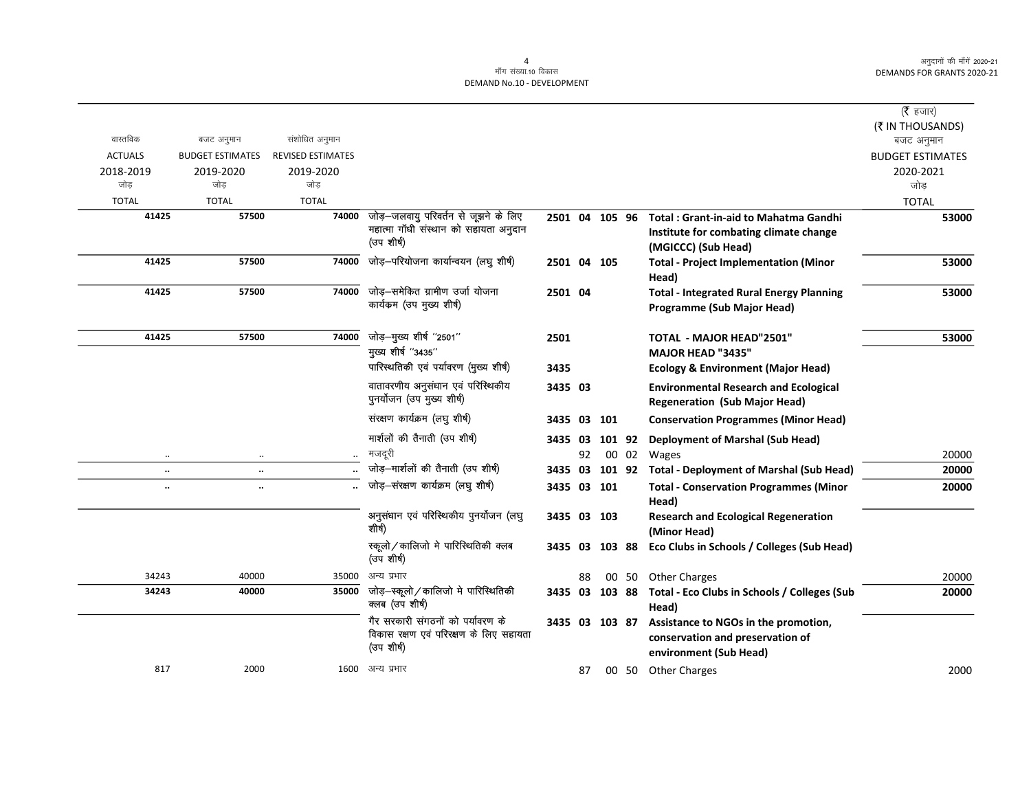|                      |                         |                          |                                                                                              |                |    |        |       |                                                                                                               | (रै हजार)               |
|----------------------|-------------------------|--------------------------|----------------------------------------------------------------------------------------------|----------------|----|--------|-------|---------------------------------------------------------------------------------------------------------------|-------------------------|
|                      |                         |                          |                                                                                              |                |    |        |       |                                                                                                               | (₹ IN THOUSANDS)        |
| वास्तविक             | बजट अनुमान              | संशोधित अनुमान           |                                                                                              |                |    |        |       |                                                                                                               | बजट अनुमान              |
| <b>ACTUALS</b>       | <b>BUDGET ESTIMATES</b> | <b>REVISED ESTIMATES</b> |                                                                                              |                |    |        |       |                                                                                                               | <b>BUDGET ESTIMATES</b> |
| 2018-2019            | 2019-2020               | 2019-2020                |                                                                                              |                |    |        |       |                                                                                                               | 2020-2021               |
| जोड                  | जोड                     | जोड                      |                                                                                              |                |    |        |       |                                                                                                               | जोड                     |
| <b>TOTAL</b>         | <b>TOTAL</b>            | <b>TOTAL</b>             |                                                                                              |                |    |        |       |                                                                                                               | <b>TOTAL</b>            |
| 41425                | 57500                   | 74000                    | जोड़-जलवायु परिवर्तन से जूझने के लिए<br>महात्मा गाँधी संस्थान को सहायता अनुदान<br>(उप शीर्ष) | 2501 04 105 96 |    |        |       | <b>Total: Grant-in-aid to Mahatma Gandhi</b><br>Institute for combating climate change<br>(MGICCC) (Sub Head) | 53000                   |
| 41425                | 57500                   | 74000                    | जोड़-परियोजना कार्यान्वयन (लघु शीर्ष)                                                        | 2501 04 105    |    |        |       | <b>Total - Project Implementation (Minor</b><br>Head)                                                         | 53000                   |
| 41425                | 57500                   | 74000                    | जोड–समेकित ग्रामीण उर्जा योजना<br>कार्यकम (उप मुख्य शीर्ष)                                   | 2501 04        |    |        |       | <b>Total - Integrated Rural Energy Planning</b><br>Programme (Sub Major Head)                                 | 53000                   |
| 41425                | 57500                   | 74000                    | जोड़-मुख्य शीर्ष "2501"                                                                      | 2501           |    |        |       | TOTAL - MAJOR HEAD"2501"                                                                                      | 53000                   |
|                      |                         |                          | मुख्य शीर्ष "3435"                                                                           |                |    |        |       | <b>MAJOR HEAD "3435"</b>                                                                                      |                         |
|                      |                         |                          | पारिस्थतिकी एवं पर्यावरण (मुख्य शीर्ष)                                                       | 3435           |    |        |       | <b>Ecology &amp; Environment (Major Head)</b>                                                                 |                         |
|                      |                         |                          | वातावरणीय अनुसंधान एवं परिस्थिकीय<br>पुनर्योजन (उप मुख्य शीर्ष)                              | 3435 03        |    |        |       | <b>Environmental Research and Ecological</b><br><b>Regeneration (Sub Major Head)</b>                          |                         |
|                      |                         |                          | संरक्षण कार्यक्रम (लघु शीर्ष)                                                                | 3435 03 101    |    |        |       | <b>Conservation Programmes (Minor Head)</b>                                                                   |                         |
|                      |                         |                          | मार्शलों की तैनाती (उप शीषे)                                                                 | 3435 03        |    | 101 92 |       | <b>Deployment of Marshal (Sub Head)</b>                                                                       |                         |
| $\ddotsc$            | $\ddotsc$               |                          | मजदूरी                                                                                       |                | 92 |        | 00 02 | Wages                                                                                                         | 20000                   |
| $\ddot{\phantom{1}}$ | $\ddotsc$               |                          | जोड़-मार्शलों की तैनाती (उप शीर्ष)                                                           | 3435 03        |    | 101 92 |       | <b>Total - Deployment of Marshal (Sub Head)</b>                                                               | 20000                   |
| $\ddotsc$            | $\ldots$                |                          | जोड़-संरक्षण कार्यक्रम (लघु शीर्ष)                                                           | 3435 03 101    |    |        |       | <b>Total - Conservation Programmes (Minor</b><br>Head)                                                        | 20000                   |
|                      |                         |                          | अनुसंधान एवं परिस्थिकीय पुनर्योजन (लघु<br>शीर्ष)                                             | 3435 03 103    |    |        |       | <b>Research and Ecological Regeneration</b><br>(Minor Head)                                                   |                         |
|                      |                         |                          | स्कूलो/कालिजो मे पारिस्थितिकी क्लब<br>(उप शीर्ष)                                             | 3435 03 103 88 |    |        |       | Eco Clubs in Schools / Colleges (Sub Head)                                                                    |                         |
| 34243                | 40000                   | 35000                    | अन्य प्रभार                                                                                  |                | 88 |        |       | 00 50 Other Charges                                                                                           | 20000                   |
| 34243                | 40000                   | 35000                    | जोड़–स्कूलो/कालिजो मे पारिस्थितिकी<br>क्लब (उप शीर्ष)                                        | 3435 03 103 88 |    |        |       | Total - Eco Clubs in Schools / Colleges (Sub<br>Head)                                                         | 20000                   |
|                      |                         |                          | गैर सरकारी संगठनों को पर्यावरण के<br>विकास रक्षण एवं परिरक्षण के लिए सहायता<br>(उप शीर्ष)    | 3435 03 103 87 |    |        |       | Assistance to NGOs in the promotion,<br>conservation and preservation of<br>environment (Sub Head)            |                         |
| 817                  | 2000                    | 1600                     | अन्य प्रभार                                                                                  |                | 87 |        |       | 00 50 Other Charges                                                                                           | 2000                    |
|                      |                         |                          |                                                                                              |                |    |        |       |                                                                                                               |                         |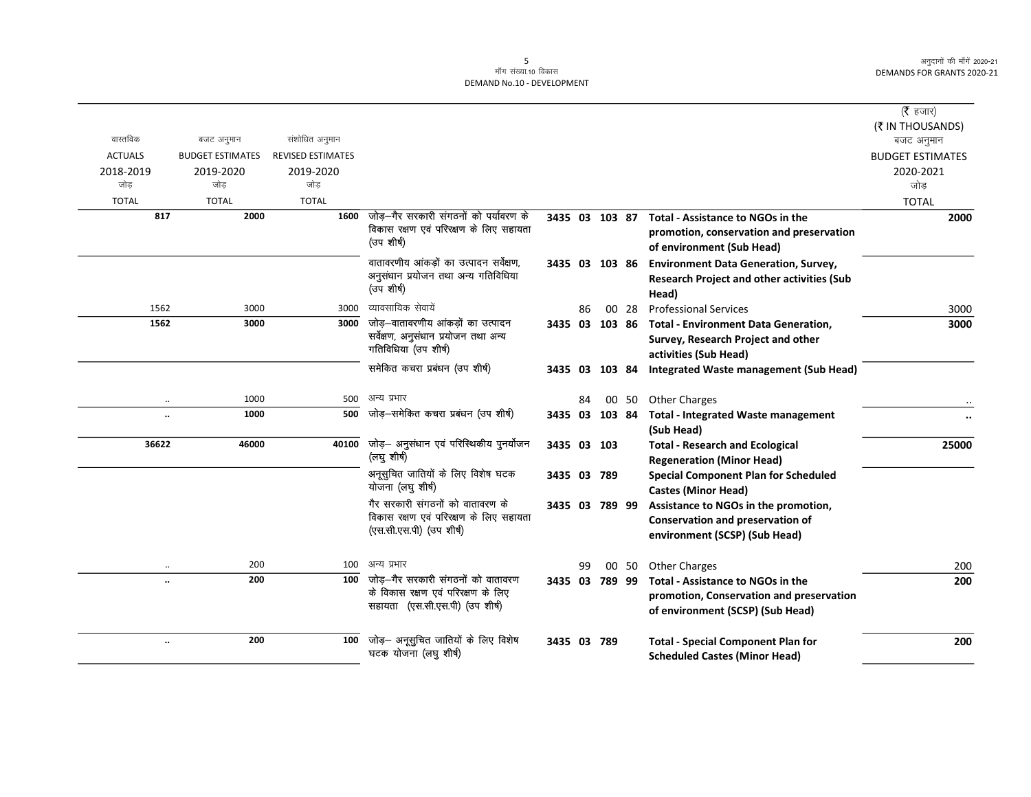|                      |                         |                          |                                                                       |                |    |       |                                                   | ( $\bar{\tau}$ हजार)    |
|----------------------|-------------------------|--------------------------|-----------------------------------------------------------------------|----------------|----|-------|---------------------------------------------------|-------------------------|
|                      |                         |                          |                                                                       |                |    |       |                                                   | (₹ IN THOUSANDS)        |
| वास्तविक             | बजट अनुमान              | संशोधित अनुमान           |                                                                       |                |    |       |                                                   | बजट अनुमान              |
| <b>ACTUALS</b>       | <b>BUDGET ESTIMATES</b> | <b>REVISED ESTIMATES</b> |                                                                       |                |    |       |                                                   | <b>BUDGET ESTIMATES</b> |
| 2018-2019            | 2019-2020               | 2019-2020                |                                                                       |                |    |       |                                                   | 2020-2021               |
| जोड                  | जोड                     | जोड                      |                                                                       |                |    |       |                                                   | जोड                     |
| <b>TOTAL</b>         | <b>TOTAL</b>            | <b>TOTAL</b>             |                                                                       |                |    |       |                                                   | <b>TOTAL</b>            |
| 817                  | 2000                    | 1600                     | जोड़–गैर सरकारी संगठनों को पर्यावरण के                                | 3435 03 103 87 |    |       | Total - Assistance to NGOs in the                 | 2000                    |
|                      |                         |                          | विकास रक्षण एवं परिरक्षण के लिए सहायता                                |                |    |       | promotion, conservation and preservation          |                         |
|                      |                         |                          | (उप शीर्ष)                                                            |                |    |       | of environment (Sub Head)                         |                         |
|                      |                         |                          | वातावरणीय आंकड़ों का उत्पादन सर्वेक्षण,                               | 3435 03 103 86 |    |       | <b>Environment Data Generation, Survey,</b>       |                         |
|                      |                         |                          | अनुसंधान प्रयोजन तथा अन्य गतिविधिया                                   |                |    |       | <b>Research Project and other activities (Sub</b> |                         |
|                      |                         |                          | (उप शीर्ष)                                                            |                |    |       | Head)                                             |                         |
| 1562                 | 3000                    | 3000                     | व्यावसायिक सेवायें                                                    |                | 86 | 00 28 | <b>Professional Services</b>                      | 3000                    |
| 1562                 | 3000                    | 3000                     | जोड़—वातावरणीय आंकड़ों का उत्पादन                                     | 3435 03 103 86 |    |       | <b>Total - Environment Data Generation,</b>       | 3000                    |
|                      |                         |                          | सर्वेक्षण, अनुसंधान प्रयोजन तथा अन्य                                  |                |    |       | Survey, Research Project and other                |                         |
|                      |                         |                          | गतिविधिया (उप शीर्ष)                                                  |                |    |       | activities (Sub Head)                             |                         |
|                      |                         |                          | समेकित कचरा प्रबंधन (उप शीर्ष)                                        | 3435 03 103 84 |    |       | <b>Integrated Waste management (Sub Head)</b>     |                         |
|                      |                         |                          |                                                                       |                |    |       |                                                   |                         |
|                      | 1000<br>$\ddotsc$       | 500                      | अन्य प्रभार                                                           |                | 84 |       | 00 50 Other Charges                               |                         |
| $\ddot{\phantom{a}}$ | 1000                    | 500                      | जोड़—समेकित कचरा प्रबंधन (उप शीर्ष)                                   | 3435 03 103 84 |    |       | <b>Total - Integrated Waste management</b>        |                         |
|                      |                         |                          |                                                                       |                |    |       | (Sub Head)                                        |                         |
| 36622                | 46000                   | 40100                    | जोड़— अनुसंधान एवं परिस्थिकीय पुनर्योजन                               | 3435 03 103    |    |       | <b>Total - Research and Ecological</b>            | 25000                   |
|                      |                         |                          | (लघु शीर्ष)                                                           |                |    |       | <b>Regeneration (Minor Head)</b>                  |                         |
|                      |                         |                          | अनूसुचित जातियों के लिए विशेष घटक                                     | 3435 03 789    |    |       | <b>Special Component Plan for Scheduled</b>       |                         |
|                      |                         |                          | योजना (लघु शीर्ष)                                                     |                |    |       | <b>Castes (Minor Head)</b>                        |                         |
|                      |                         |                          | गैर सरकारी संगठनों को वातावरण के                                      | 3435 03 789 99 |    |       | Assistance to NGOs in the promotion,              |                         |
|                      |                         |                          | विकास रक्षण एवं परिरक्षण के लिए सहायता<br>(एस.सी.एस.पी) (उप शीर्ष)    |                |    |       | <b>Conservation and preservation of</b>           |                         |
|                      |                         |                          |                                                                       |                |    |       | environment (SCSP) (Sub Head)                     |                         |
|                      |                         |                          |                                                                       |                |    |       |                                                   |                         |
|                      | 200<br>$\ddotsc$        | 100                      | अन्य प्रभार                                                           |                | 99 | 00 50 | <b>Other Charges</b>                              | 200                     |
|                      | 200                     |                          | 100 जोड–गैर सरकारी संगठनों को वातावरण                                 | 3435 03 789 99 |    |       | Total - Assistance to NGOs in the                 | 200                     |
|                      |                         |                          | के विकास रक्षण एवं परिरक्षण के लिए<br>सहायता (एस.सी.एस.पी) (उप शीर्ष) |                |    |       | promotion, Conservation and preservation          |                         |
|                      |                         |                          |                                                                       |                |    |       | of environment (SCSP) (Sub Head)                  |                         |
|                      |                         |                          |                                                                       |                |    |       |                                                   |                         |
|                      | 200<br>$\ldots$         | 100                      | जोड़— अनूसुचित जातियों के लिए विशेष                                   | 3435 03 789    |    |       | <b>Total - Special Component Plan for</b>         | 200                     |
|                      |                         |                          | घटक योजना (लघु शीर्ष)                                                 |                |    |       | <b>Scheduled Castes (Minor Head)</b>              |                         |
|                      |                         |                          |                                                                       |                |    |       |                                                   |                         |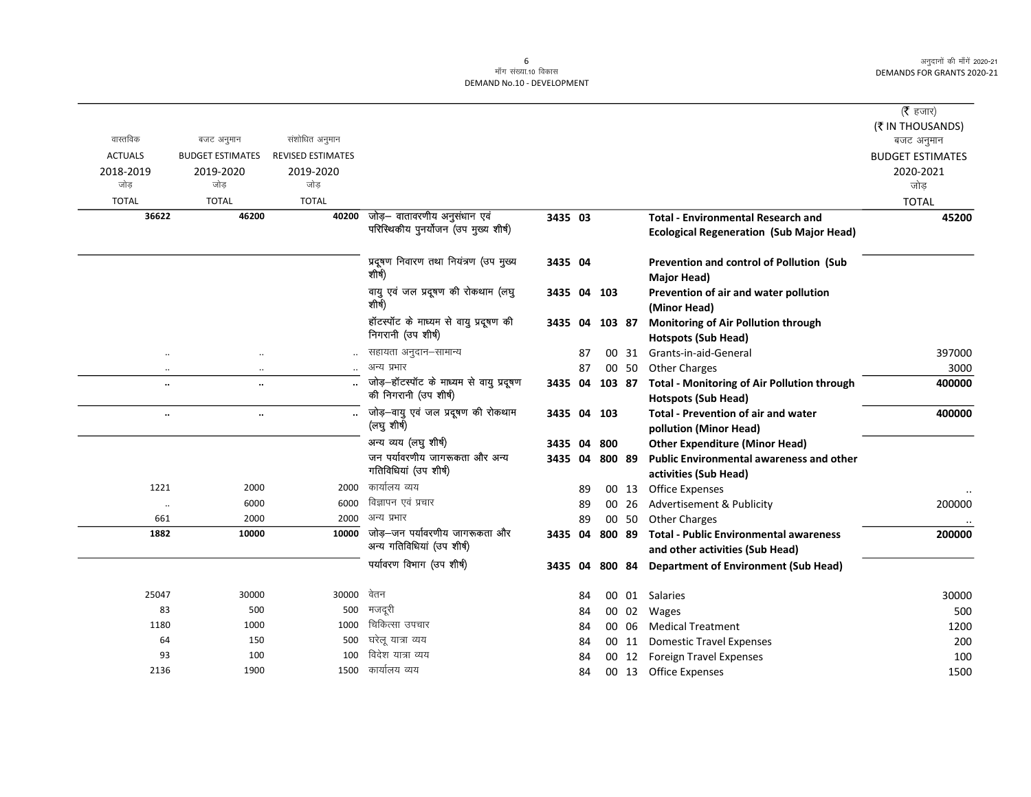|                      |                         |                          |                                                                       |                |    |                |        |                                                                                  | ( $\bar{\tau}$ हजार)<br>(₹ IN THOUSANDS) |
|----------------------|-------------------------|--------------------------|-----------------------------------------------------------------------|----------------|----|----------------|--------|----------------------------------------------------------------------------------|------------------------------------------|
| वास्तविक             | बजट अनुमान              | संशोधित अनुमान           |                                                                       |                |    |                |        |                                                                                  | बजट अनुमान                               |
| <b>ACTUALS</b>       | <b>BUDGET ESTIMATES</b> | <b>REVISED ESTIMATES</b> |                                                                       |                |    |                |        |                                                                                  | <b>BUDGET ESTIMATES</b>                  |
| 2018-2019            | 2019-2020               | 2019-2020                |                                                                       |                |    |                |        |                                                                                  | 2020-2021                                |
| जोड                  | जोड                     | जोड                      |                                                                       |                |    |                |        |                                                                                  | जोड़                                     |
| <b>TOTAL</b>         | <b>TOTAL</b>            | <b>TOTAL</b>             |                                                                       |                |    |                |        |                                                                                  | <b>TOTAL</b>                             |
| 36622                | 46200                   | 40200                    | जोड़- वातावरणीय अनुसंधान एवं<br>परिस्थिकीय पुनर्योजन (उप मुख्य शीर्ष) | 3435 03        |    |                |        | <b>Total - Environmental Research and</b>                                        | 45200                                    |
|                      |                         |                          |                                                                       |                |    |                |        | <b>Ecological Regeneration (Sub Major Head)</b>                                  |                                          |
|                      |                         |                          | प्रदूषण निवारण तथा नियंत्रण (उप मुख्य<br>शीर्ष)                       | 3435 04        |    |                |        | Prevention and control of Pollution (Sub<br><b>Major Head)</b>                   |                                          |
|                      |                         |                          | वायु एवं जल प्रदूषण की रोकथाम (लघु<br>शीर्ष)                          | 3435 04 103    |    |                |        | Prevention of air and water pollution<br>(Minor Head)                            |                                          |
|                      |                         |                          | हॉटस्पॉट के माध्यम से वायु प्रदूषण की<br>निगरानी (उप शीर्ष)           |                |    | 3435 04 103 87 |        | Monitoring of Air Pollution through<br><b>Hotspots (Sub Head)</b>                |                                          |
|                      | $\cdot$                 |                          | सहायता अनुदान-सामान्य                                                 |                | 87 |                | 00 31  | Grants-in-aid-General                                                            | 397000                                   |
|                      | $\cdot$                 |                          | अन्य प्रभार                                                           |                | 87 |                | 00 50  | <b>Other Charges</b>                                                             | 3000                                     |
| $\ddot{\phantom{a}}$ | $\ddotsc$               |                          | जोड़-हॉटस्पॉट के माध्यम से वायु प्रदूषण<br>की निगरानी (उप शीर्ष)      | 3435 04 103 87 |    |                |        | <b>Total - Monitoring of Air Pollution through</b><br><b>Hotspots (Sub Head)</b> | 400000                                   |
|                      | $\ddotsc$               | $\ddot{\phantom{a}}$     | जोड़-वायु एवं जल प्रदूषण की रोकथाम<br>(लघु शीर्ष)                     | 3435 04 103    |    |                |        | Total - Prevention of air and water<br>pollution (Minor Head)                    | 400000                                   |
|                      |                         |                          | अन्य व्यय (लघु शीर्ष)                                                 | 3435 04        |    | 800            |        | <b>Other Expenditure (Minor Head)</b>                                            |                                          |
|                      |                         |                          | जन पर्यावरणीय जागरूकता और अन्य                                        | 3435 04        |    | 800 89         |        | <b>Public Environmental awareness and other</b>                                  |                                          |
|                      |                         |                          | गतिविधियां (उप शीर्ष)                                                 |                |    |                |        | activities (Sub Head)                                                            |                                          |
| 1221                 | 2000                    | 2000                     | कार्यालय व्यय                                                         |                | 89 |                | 00 13  | <b>Office Expenses</b>                                                           |                                          |
| $\ddotsc$            | 6000                    | 6000                     | विज्ञापन एवं प्रचार                                                   |                | 89 |                | 00 26  | Advertisement & Publicity                                                        | 200000                                   |
| 661                  | 2000                    | 2000                     | अन्य प्रभार                                                           |                | 89 |                | 00 50  | <b>Other Charges</b>                                                             |                                          |
| 1882                 | 10000                   | 10000                    | जोड़-जन पर्यावरणीय जागरूकता और                                        | 3435 04        |    | 800 89         |        | <b>Total - Public Environmental awareness</b>                                    | 200000                                   |
|                      |                         |                          | अन्य गतिविधियां (उप शीर्ष)                                            |                |    |                |        | and other activities (Sub Head)                                                  |                                          |
|                      |                         |                          | पर्यावरण विभाग (उप शीर्ष)                                             | 3435 04        |    |                | 800 84 | <b>Department of Environment (Sub Head)</b>                                      |                                          |
|                      |                         |                          |                                                                       |                |    |                |        |                                                                                  |                                          |
| 25047                | 30000                   | 30000                    | वेतन                                                                  |                | 84 |                |        | 00 01 Salaries                                                                   | 30000                                    |
| 83                   | 500                     | 500                      | मजदूरी                                                                |                | 84 |                | 00 02  | Wages                                                                            | 500                                      |
| 1180                 | 1000                    | 1000                     | चिकित्सा उपचार                                                        |                | 84 |                | 00 06  | <b>Medical Treatment</b>                                                         | 1200                                     |
| 64                   | 150                     | 500                      | घरेलू यात्रा व्यय                                                     |                | 84 |                | 00 11  | <b>Domestic Travel Expenses</b>                                                  | 200                                      |
| 93                   | 100                     | 100                      | विदेश यात्रा व्यय                                                     |                | 84 | 00             | 12     | <b>Foreign Travel Expenses</b>                                                   | 100                                      |
| 2136                 | 1900                    | 1500                     | कार्यालय व्यय                                                         |                | 84 |                |        | 00 13 Office Expenses                                                            | 1500                                     |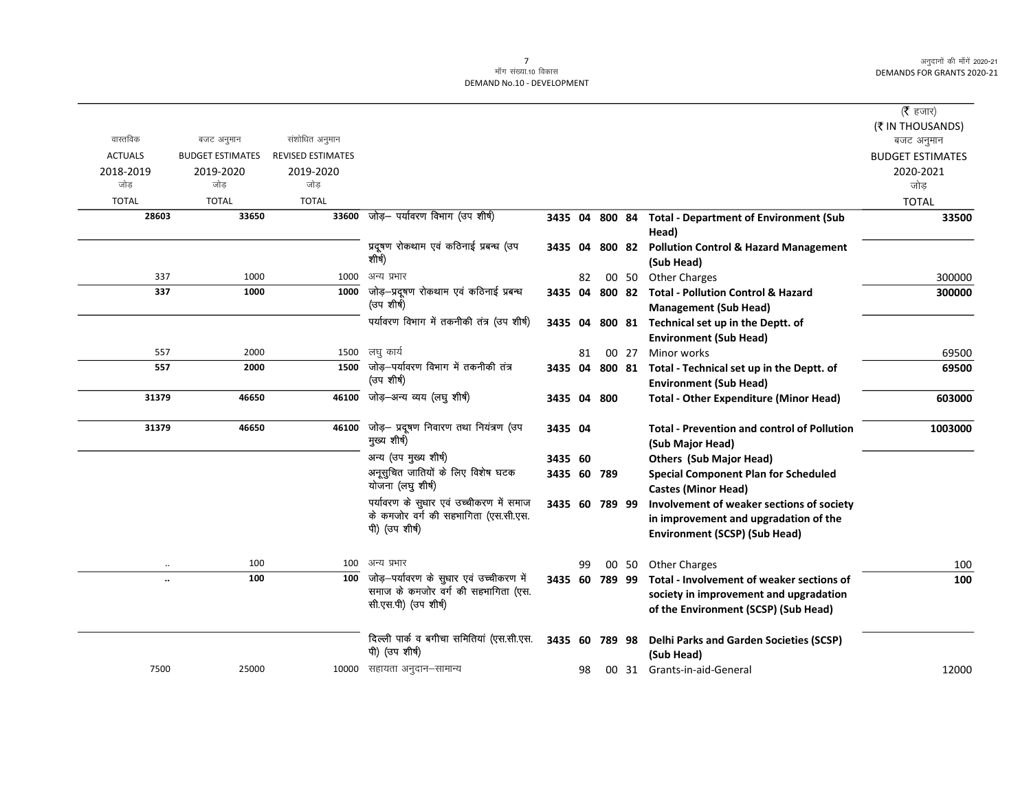# 7<br>माँग संख्या.10 विकास

DEMAND No.10 - DEVELOPMENT

|                |                         |                          |                                                                                                        |                |    |        |       |                                                                                                                             | ( $\bar{\tau}$ हजार)<br>(₹ IN THOUSANDS) |
|----------------|-------------------------|--------------------------|--------------------------------------------------------------------------------------------------------|----------------|----|--------|-------|-----------------------------------------------------------------------------------------------------------------------------|------------------------------------------|
| वास्तविक       | बजट अनुमान              | संशोधित अनुमान           |                                                                                                        |                |    |        |       |                                                                                                                             | बजट अनुमान                               |
| <b>ACTUALS</b> | <b>BUDGET ESTIMATES</b> | <b>REVISED ESTIMATES</b> |                                                                                                        |                |    |        |       |                                                                                                                             | <b>BUDGET ESTIMATES</b>                  |
| 2018-2019      | 2019-2020               | 2019-2020                |                                                                                                        |                |    |        |       |                                                                                                                             | 2020-2021                                |
| जोड            | जोड                     | जोड                      |                                                                                                        |                |    |        |       |                                                                                                                             | जोड                                      |
| <b>TOTAL</b>   | <b>TOTAL</b>            | <b>TOTAL</b>             |                                                                                                        |                |    |        |       |                                                                                                                             | <b>TOTAL</b>                             |
| 28603          | 33650                   | 33600                    | जोड़- पर्यावरण विभाग (उप शीर्ष)                                                                        | 3435 04 800 84 |    |        |       | <b>Total - Department of Environment (Sub</b><br>Head)                                                                      | 33500                                    |
|                |                         |                          | प्रदूषण रोकथाम एवं कठिनाई प्रबन्ध (उप<br>शीर्ष)                                                        | 3435 04        |    | 800 82 |       | <b>Pollution Control &amp; Hazard Management</b><br>(Sub Head)                                                              |                                          |
| 337            | 1000                    | 1000                     | अन्य प्रभार                                                                                            |                | 82 |        | 00 50 | <b>Other Charges</b>                                                                                                        | 300000                                   |
| 337            | 1000                    | 1000                     | जोड़—प्रदूषण रोकथाम एवं कठिनाई प्रबन्ध<br>(उप शीर्ष)                                                   | 3435 04 800 82 |    |        |       | <b>Total - Pollution Control &amp; Hazard</b><br><b>Management (Sub Head)</b>                                               | 300000                                   |
|                |                         |                          | पर्यावरण विभाग में तकनीकी तंत्र (उप शीर्ष)                                                             | 3435 04        |    |        |       | 800 81 Technical set up in the Deptt. of<br><b>Environment (Sub Head)</b>                                                   |                                          |
| 557            | 2000                    | 1500                     | लघु कार्य                                                                                              |                | 81 |        | 00 27 | Minor works                                                                                                                 | 69500                                    |
| 557            | 2000                    | 1500                     | जोड़—पर्यावरण विभाग में तकनीकी तंत्र<br>(उप शीर्ष)                                                     |                |    |        |       | 3435 04 800 81 Total - Technical set up in the Deptt. of<br><b>Environment (Sub Head)</b>                                   | 69500                                    |
| 31379          | 46650                   |                          | 46100 जोड़-अन्य व्यय (लघु शीर्ष)                                                                       | 3435 04 800    |    |        |       | <b>Total - Other Expenditure (Minor Head)</b>                                                                               | 603000                                   |
| 31379          | 46650                   | 46100                    | जोड़- प्रदूषण निवारण तथा नियंत्रण (उप<br>मुख्य शीर्ष)                                                  | 3435 04        |    |        |       | <b>Total - Prevention and control of Pollution</b><br>(Sub Major Head)                                                      | 1003000                                  |
|                |                         |                          | अन्य (उप मुख्य शीर्ष)                                                                                  | 3435 60        |    |        |       | <b>Others (Sub Major Head)</b>                                                                                              |                                          |
|                |                         |                          | अनूसुचित जातियों के लिए विशेष घटक<br>योजना (लघु शीर्ष)                                                 | 3435 60 789    |    |        |       | <b>Special Component Plan for Scheduled</b><br><b>Castes (Minor Head)</b>                                                   |                                          |
|                |                         |                          | पर्यावरण के सुधार एवं उच्चीकरण में समाज<br>के कमजोर वर्ग की सहभागिता (एस.सी.एस.<br>पी) (उप शीर्ष)      | 3435 60 789 99 |    |        |       | Involvement of weaker sections of society<br>in improvement and upgradation of the<br><b>Environment (SCSP) (Sub Head)</b>  |                                          |
|                | 100                     | 100                      | अन्य प्रभार                                                                                            |                | 99 |        | 00 50 | <b>Other Charges</b>                                                                                                        | 100                                      |
| $\ddotsc$      | 100                     | 100                      | जोड़—पर्यावरण के सुधार एवं उच्चीकरण में<br>समाज के कमजोर वर्ग की सहभागिता (एस.<br>सी.एस.पी) (उप शीर्ष) | 3435 60 789 99 |    |        |       | Total - Involvement of weaker sections of<br>society in improvement and upgradation<br>of the Environment (SCSP) (Sub Head) | 100                                      |
|                |                         |                          | दिल्ली पार्क व बगीचा समितियां (एस.सी.एस.<br>पी) (उप शीर्ष)                                             | 3435 60 789 98 |    |        |       | Delhi Parks and Garden Societies (SCSP)<br>(Sub Head)                                                                       |                                          |
| 7500           | 25000                   |                          | 10000 सहायता अनुदान–सामान्य                                                                            |                | 98 |        |       | 00 31 Grants-in-aid-General                                                                                                 | 12000                                    |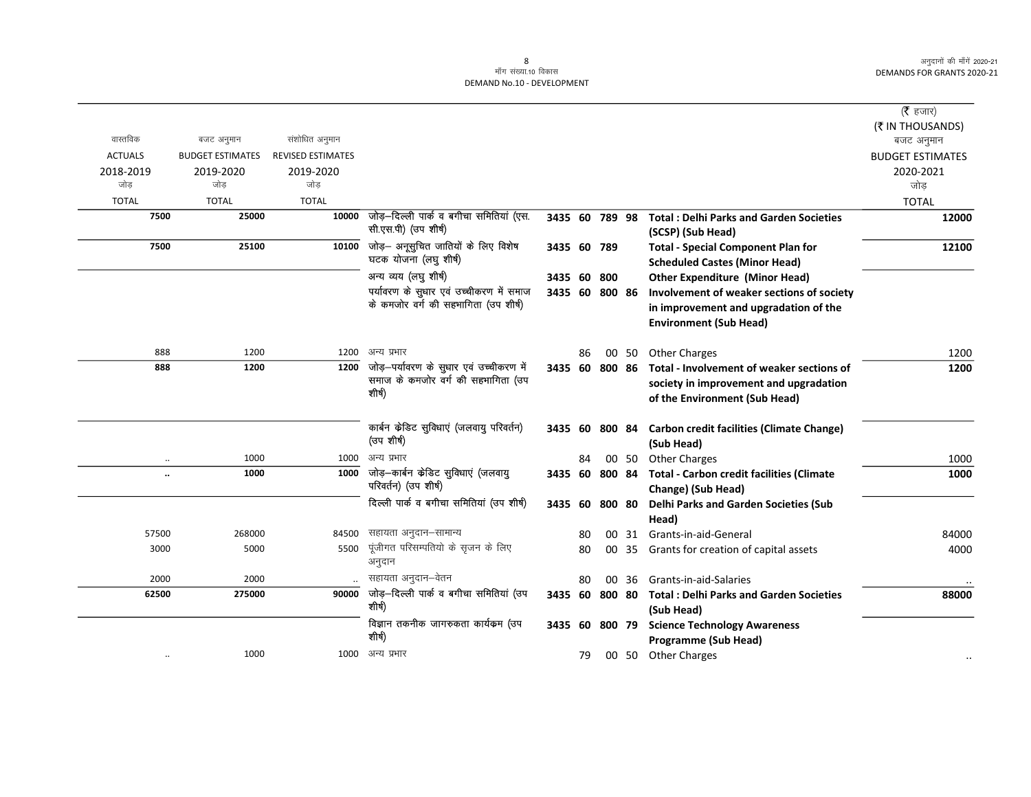|                |                      |                         |                          |                                                                               |                |    |     |       |                                                  | ( $\bar{\tau}$ हजार)    |
|----------------|----------------------|-------------------------|--------------------------|-------------------------------------------------------------------------------|----------------|----|-----|-------|--------------------------------------------------|-------------------------|
|                |                      |                         |                          |                                                                               |                |    |     |       |                                                  | (₹ IN THOUSANDS)        |
| वास्तविक       |                      | बजट अनुमान              | संशोधित अनुमान           |                                                                               |                |    |     |       |                                                  | बजट अनुमान              |
| <b>ACTUALS</b> |                      | <b>BUDGET ESTIMATES</b> | <b>REVISED ESTIMATES</b> |                                                                               |                |    |     |       |                                                  | <b>BUDGET ESTIMATES</b> |
| 2018-2019      |                      | 2019-2020               | 2019-2020                |                                                                               |                |    |     |       |                                                  | 2020-2021               |
| जोड            |                      | जोड                     | जोड                      |                                                                               |                |    |     |       |                                                  | जोड                     |
| <b>TOTAL</b>   |                      | <b>TOTAL</b>            | <b>TOTAL</b>             |                                                                               |                |    |     |       |                                                  | <b>TOTAL</b>            |
|                | 7500                 | 25000                   | 10000                    | जोड़–दिल्ली पार्क व बगीचा समितियां (एस.                                       | 3435 60 789 98 |    |     |       | <b>Total: Delhi Parks and Garden Societies</b>   | 12000                   |
|                |                      |                         |                          | सी.एस.पी) (उप शीर्ष)                                                          |                |    |     |       | (SCSP) (Sub Head)                                |                         |
|                | 7500                 | 25100                   | 10100                    | जोड़— अनूसुचित जातियों के लिए विशेष                                           | 3435 60 789    |    |     |       | <b>Total - Special Component Plan for</b>        | 12100                   |
|                |                      |                         |                          | घटक योजना (लघु शीर्ष)                                                         |                |    |     |       | <b>Scheduled Castes (Minor Head)</b>             |                         |
|                |                      |                         |                          | अन्य व्यय (लघु शीर्ष)                                                         | 3435 60 800    |    |     |       | <b>Other Expenditure (Minor Head)</b>            |                         |
|                |                      |                         |                          | पर्यावरण के सुधार एवं उच्चीकरण में समाज                                       | 3435 60 800 86 |    |     |       | Involvement of weaker sections of society        |                         |
|                |                      |                         |                          | के कमजोर वर्ग की सहभागिता (उप शीर्ष)                                          |                |    |     |       | in improvement and upgradation of the            |                         |
|                |                      |                         |                          |                                                                               |                |    |     |       | <b>Environment (Sub Head)</b>                    |                         |
|                |                      |                         |                          |                                                                               |                |    |     |       |                                                  |                         |
|                | 888                  | 1200                    | 1200                     | अन्य प्रभार                                                                   |                | 86 |     | 00 50 | <b>Other Charges</b>                             | 1200                    |
|                | 888                  | 1200                    | 1200                     | जोड़—पर्यावरण के सुधार एवं उच्चीकरण में<br>समाज के कमजोर वर्ग की सहभागिता (उप | 3435 60 800 86 |    |     |       | Total - Involvement of weaker sections of        | 1200                    |
|                |                      |                         |                          | शीर्ष)                                                                        |                |    |     |       | society in improvement and upgradation           |                         |
|                |                      |                         |                          |                                                                               |                |    |     |       | of the Environment (Sub Head)                    |                         |
|                |                      |                         |                          | कार्बन केडिट सुविधाएं (जलवायु परिवर्तन)                                       | 3435 60 800 84 |    |     |       | <b>Carbon credit facilities (Climate Change)</b> |                         |
|                |                      |                         |                          | (उप शीर्ष)                                                                    |                |    |     |       | (Sub Head)                                       |                         |
|                | $\ddot{\phantom{a}}$ | 1000                    | 1000                     | अन्य प्रभार                                                                   |                | 84 |     | 00 50 | <b>Other Charges</b>                             | 1000                    |
|                |                      | 1000                    | 1000                     | जोड़—कार्बन केडिट सुविधाएं (जलवायु                                            | 3435 60 800 84 |    |     |       | <b>Total - Carbon credit facilities (Climate</b> | 1000                    |
|                |                      |                         |                          | परिवर्तन) (उप शीर्ष)                                                          |                |    |     |       | Change) (Sub Head)                               |                         |
|                |                      |                         |                          | दिल्ली पार्क व बगीचा समितियां (उप शीर्ष)                                      | 3435 60 800 80 |    |     |       | <b>Delhi Parks and Garden Societies (Sub</b>     |                         |
|                |                      |                         |                          |                                                                               |                |    |     |       | Head)                                            |                         |
|                | 57500                | 268000                  | 84500                    | सहायता अनुदान–सामान्य                                                         |                | 80 |     | 00 31 | Grants-in-aid-General                            | 84000                   |
|                | 3000                 | 5000                    | 5500                     | पूंजीगत परिसम्पतियो के सृजन के लिए                                            |                | 80 |     | 00 35 | Grants for creation of capital assets            | 4000                    |
|                |                      |                         |                          | अनुदान                                                                        |                |    |     |       |                                                  |                         |
|                | 2000                 | 2000                    |                          | सहायता अनुदान–वेतन                                                            |                | 80 | 00. | 36    | Grants-in-aid-Salaries                           |                         |
|                | 62500                | 275000                  | 90000                    | जोड़—दिल्ली पार्क व बगीचा समितियां (उप                                        | 3435 60 800 80 |    |     |       | <b>Total: Delhi Parks and Garden Societies</b>   | 88000                   |
|                |                      |                         |                          | शीर्ष)                                                                        |                |    |     |       | (Sub Head)                                       |                         |
|                |                      |                         |                          | विज्ञान तकनीक जागरुकता कार्यक्रम (उप                                          | 3435 60 800 79 |    |     |       | <b>Science Technology Awareness</b>              |                         |
|                |                      |                         |                          | शीर्ष)                                                                        |                |    |     |       | <b>Programme (Sub Head)</b>                      |                         |
|                |                      | 1000                    | 1000                     | अन्य प्रभार                                                                   |                | 79 |     |       | 00 50 Other Charges                              |                         |
|                |                      |                         |                          |                                                                               |                |    |     |       |                                                  |                         |